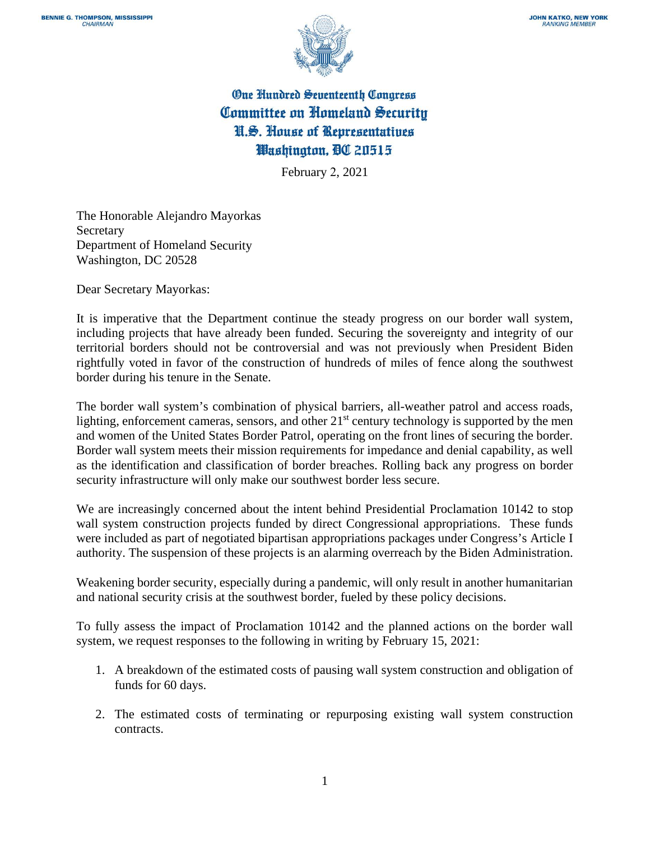

## **One Hundred Seventeenth Conaress** Committee on Homeland Security U.S. House of Representatives Washington, DC 20515

February 2, 2021

The Honorable Alejandro Mayorkas Secretary Department of Homeland Security Washington, DC 20528

Dear Secretary Mayorkas:

It is imperative that the Department continue the steady progress on our border wall system, including projects that have already been funded. Securing the sovereignty and integrity of our territorial borders should not be controversial and was not previously when President Biden rightfully voted in favor of the construction of hundreds of miles of fence along the southwest border during his tenure in the Senate.

The border wall system's combination of physical barriers, all-weather patrol and access roads, lighting, enforcement cameras, sensors, and other  $21<sup>st</sup>$  century technology is supported by the men and women of the United States Border Patrol, operating on the front lines of securing the border. Border wall system meets their mission requirements for impedance and denial capability, as well as the identification and classification of border breaches. Rolling back any progress on border security infrastructure will only make our southwest border less secure.

We are increasingly concerned about the intent behind Presidential Proclamation 10142 to stop wall system construction projects funded by direct Congressional appropriations. These funds were included as part of negotiated bipartisan appropriations packages under Congress's Article I authority. The suspension of these projects is an alarming overreach by the Biden Administration.

Weakening border security, especially during a pandemic, will only result in another humanitarian and national security crisis at the southwest border, fueled by these policy decisions.

To fully assess the impact of Proclamation 10142 and the planned actions on the border wall system, we request responses to the following in writing by February 15, 2021:

- 1. A breakdown of the estimated costs of pausing wall system construction and obligation of funds for 60 days.
- 2. The estimated costs of terminating or repurposing existing wall system construction contracts.